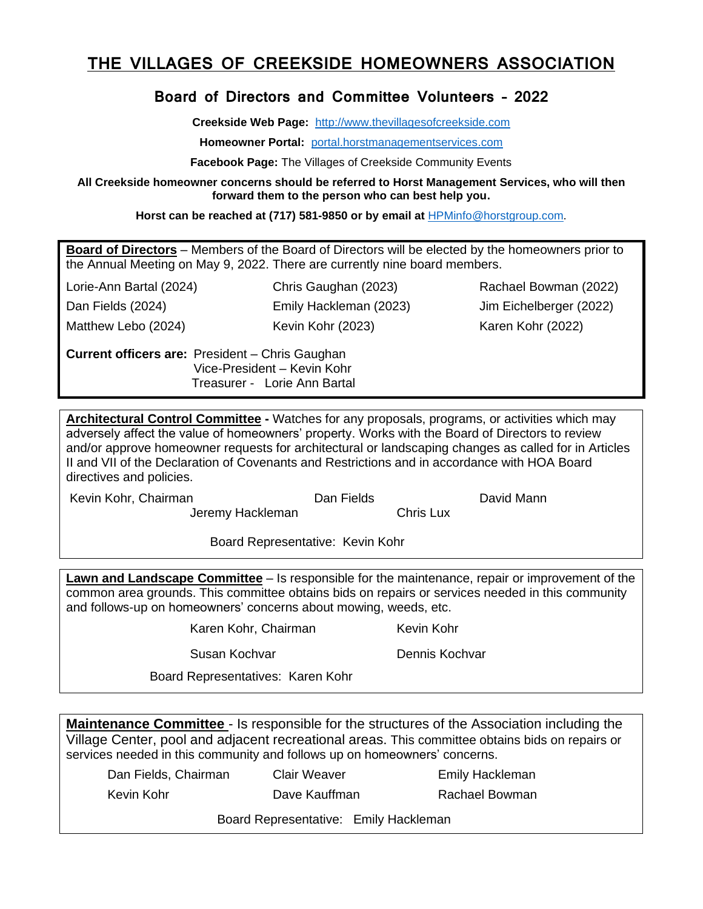## **THE VILLAGES OF CREEKSIDE HOMEOWNERS ASSOCIATION**

## **Board of Directors and Committee Volunteers – 2022**

**Creekside Web Page:** [http://www.thevillagesofcreekside.com](http://www.thevillagesofcreekside.com/)

**Homeowner Portal:** [portal.horstmanagementservices.com](http://www.thevillagesofcreekside.com/)

**Facebook Page:** The Villages of Creekside Community Events

**All Creekside homeowner concerns should be referred to Horst Management Services, who will then forward them to the person who can best help you.**

**Horst can be reached at (717) 581-9850 or by email at** [HPMinfo@horstgroup.com.](mailto:HPMinfo@horstgroup.com)

**Board of Directors** – Members of the Board of Directors will be elected by the homeowners prior to the Annual Meeting on May 9, 2022. There are currently nine board members.

Lorie-Ann Bartal (2024) Chris Gaughan (2023) Rachael Bowman (2022) Dan Fields (2024) Emily Hackleman (2023) Jim Eichelberger (2022) Matthew Lebo (2024) Kevin Kohr (2023) Karen Kohr (2022)

**Current officers are:** President – Chris Gaughan Vice-President – Kevin Kohr Treasurer - Lorie Ann Bartal

**Architectural Control Committee -** Watches for any proposals, programs, or activities which may adversely affect the value of homeowners' property. Works with the Board of Directors to review and/or approve homeowner requests for architectural or landscaping changes as called for in Articles II and VII of the Declaration of Covenants and Restrictions and in accordance with HOA Board directives and policies.

Kevin Kohr, Chairman **Dan Fields** Dan Fields David Mann

Jeremy Hackleman Chris Lux

Board Representative: Kevin Kohr

**Lawn and Landscape Committee** – Is responsible for the maintenance, repair or improvement of the common area grounds. This committee obtains bids on repairs or services needed in this community and follows-up on homeowners' concerns about mowing, weeds, etc.

Karen Kohr, Chairman Kevin Kohr

Susan Kochvar **Dennis Kochvar** 

Board Representatives: Karen Kohr

**Maintenance Committee** - Is responsible for the structures of the Association including the Village Center, pool and adjacent recreational areas. This committee obtains bids on repairs or services needed in this community and follows up on homeowners' concerns.

Dan Fields, Chairman Clair Weaver **Emily Hackleman** 

Kevin Kohr Dave Kauffman Rachael Bowman

Board Representative: Emily Hackleman